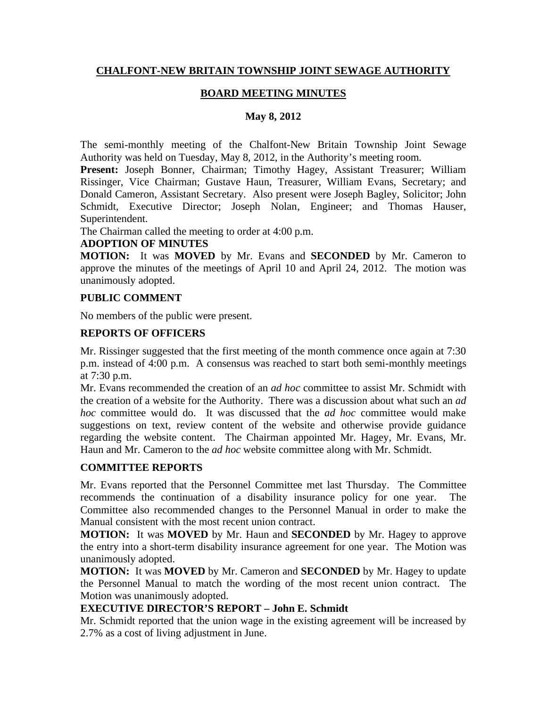### **CHALFONT-NEW BRITAIN TOWNSHIP JOINT SEWAGE AUTHORITY**

## **BOARD MEETING MINUTES**

#### **May 8, 2012**

The semi-monthly meeting of the Chalfont-New Britain Township Joint Sewage Authority was held on Tuesday, May 8, 2012, in the Authority's meeting room.

Present: Joseph Bonner, Chairman; Timothy Hagey, Assistant Treasurer; William Rissinger, Vice Chairman; Gustave Haun, Treasurer, William Evans, Secretary; and Donald Cameron, Assistant Secretary. Also present were Joseph Bagley, Solicitor; John Schmidt, Executive Director; Joseph Nolan, Engineer; and Thomas Hauser, Superintendent.

The Chairman called the meeting to order at 4:00 p.m.

#### **ADOPTION OF MINUTES**

**MOTION:** It was **MOVED** by Mr. Evans and **SECONDED** by Mr. Cameron to approve the minutes of the meetings of April 10 and April 24, 2012. The motion was unanimously adopted.

#### **PUBLIC COMMENT**

No members of the public were present.

#### **REPORTS OF OFFICERS**

Mr. Rissinger suggested that the first meeting of the month commence once again at 7:30 p.m. instead of 4:00 p.m. A consensus was reached to start both semi-monthly meetings at 7:30 p.m.

Mr. Evans recommended the creation of an *ad hoc* committee to assist Mr. Schmidt with the creation of a website for the Authority. There was a discussion about what such an *ad hoc* committee would do. It was discussed that the *ad hoc* committee would make suggestions on text, review content of the website and otherwise provide guidance regarding the website content. The Chairman appointed Mr. Hagey, Mr. Evans, Mr. Haun and Mr. Cameron to the *ad hoc* website committee along with Mr. Schmidt.

### **COMMITTEE REPORTS**

Mr. Evans reported that the Personnel Committee met last Thursday. The Committee recommends the continuation of a disability insurance policy for one year. The Committee also recommended changes to the Personnel Manual in order to make the Manual consistent with the most recent union contract.

**MOTION:** It was **MOVED** by Mr. Haun and **SECONDED** by Mr. Hagey to approve the entry into a short-term disability insurance agreement for one year. The Motion was unanimously adopted.

**MOTION:** It was **MOVED** by Mr. Cameron and **SECONDED** by Mr. Hagey to update the Personnel Manual to match the wording of the most recent union contract. The Motion was unanimously adopted.

# **EXECUTIVE DIRECTOR'S REPORT – John E. Schmidt**

Mr. Schmidt reported that the union wage in the existing agreement will be increased by 2.7% as a cost of living adjustment in June.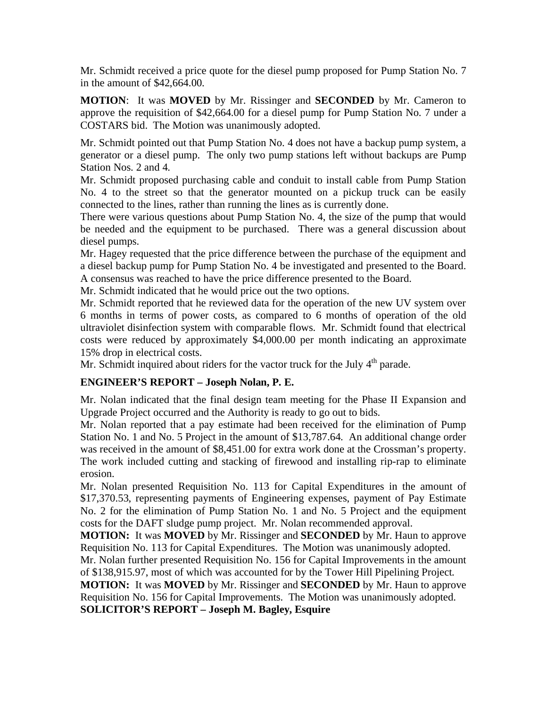Mr. Schmidt received a price quote for the diesel pump proposed for Pump Station No. 7 in the amount of \$42,664.00.

**MOTION**: It was **MOVED** by Mr. Rissinger and **SECONDED** by Mr. Cameron to approve the requisition of \$42,664.00 for a diesel pump for Pump Station No. 7 under a COSTARS bid. The Motion was unanimously adopted.

Mr. Schmidt pointed out that Pump Station No. 4 does not have a backup pump system, a generator or a diesel pump. The only two pump stations left without backups are Pump Station Nos. 2 and 4.

Mr. Schmidt proposed purchasing cable and conduit to install cable from Pump Station No. 4 to the street so that the generator mounted on a pickup truck can be easily connected to the lines, rather than running the lines as is currently done.

There were various questions about Pump Station No. 4, the size of the pump that would be needed and the equipment to be purchased. There was a general discussion about diesel pumps.

Mr. Hagey requested that the price difference between the purchase of the equipment and a diesel backup pump for Pump Station No. 4 be investigated and presented to the Board. A consensus was reached to have the price difference presented to the Board.

Mr. Schmidt indicated that he would price out the two options.

Mr. Schmidt reported that he reviewed data for the operation of the new UV system over 6 months in terms of power costs, as compared to 6 months of operation of the old ultraviolet disinfection system with comparable flows. Mr. Schmidt found that electrical costs were reduced by approximately \$4,000.00 per month indicating an approximate 15% drop in electrical costs.

Mr. Schmidt inquired about riders for the vactor truck for the July  $4<sup>th</sup>$  parade.

### **ENGINEER'S REPORT – Joseph Nolan, P. E.**

Mr. Nolan indicated that the final design team meeting for the Phase II Expansion and Upgrade Project occurred and the Authority is ready to go out to bids.

Mr. Nolan reported that a pay estimate had been received for the elimination of Pump Station No. 1 and No. 5 Project in the amount of \$13,787.64. An additional change order was received in the amount of \$8,451.00 for extra work done at the Crossman's property. The work included cutting and stacking of firewood and installing rip-rap to eliminate erosion.

Mr. Nolan presented Requisition No. 113 for Capital Expenditures in the amount of \$17,370.53, representing payments of Engineering expenses, payment of Pay Estimate No. 2 for the elimination of Pump Station No. 1 and No. 5 Project and the equipment costs for the DAFT sludge pump project. Mr. Nolan recommended approval.

**MOTION:** It was **MOVED** by Mr. Rissinger and **SECONDED** by Mr. Haun to approve Requisition No. 113 for Capital Expenditures. The Motion was unanimously adopted.

Mr. Nolan further presented Requisition No. 156 for Capital Improvements in the amount of \$138,915.97, most of which was accounted for by the Tower Hill Pipelining Project.

**MOTION:** It was **MOVED** by Mr. Rissinger and **SECONDED** by Mr. Haun to approve Requisition No. 156 for Capital Improvements. The Motion was unanimously adopted.

**SOLICITOR'S REPORT – Joseph M. Bagley, Esquire**